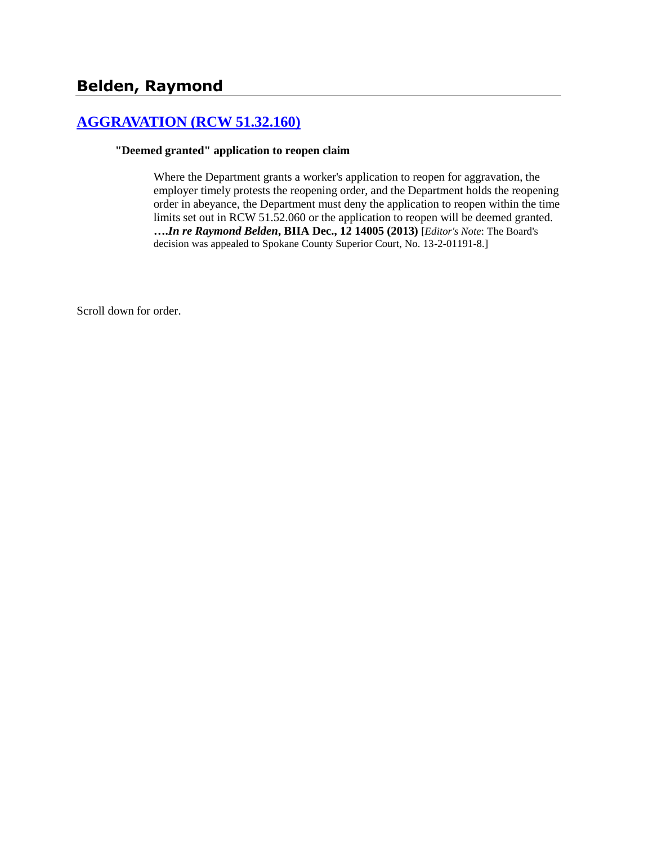# **[AGGRAVATION \(RCW 51.32.160\)](http://www.biia.wa.gov/SDSubjectIndex.html#AGGRAVATION)**

#### **"Deemed granted" application to reopen claim**

Where the Department grants a worker's application to reopen for aggravation, the employer timely protests the reopening order, and the Department holds the reopening order in abeyance, the Department must deny the application to reopen within the time limits set out in RCW 51.52.060 or the application to reopen will be deemed granted. **….***In re Raymond Belden***, BIIA Dec., 12 14005 (2013)** [*Editor's Note*: The Board's decision was appealed to Spokane County Superior Court, No. 13-2-01191-8.]

Scroll down for order.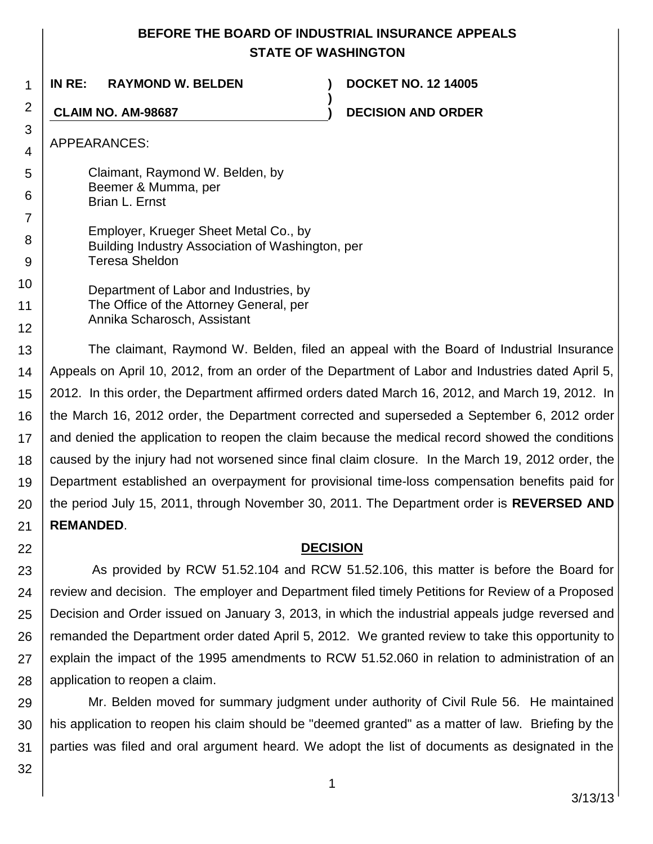## **BEFORE THE BOARD OF INDUSTRIAL INSURANCE APPEALS STATE OF WASHINGTON**

**)**

**IN RE: RAYMOND W. BELDEN ) DOCKET NO. 12 14005**

**CLAIM NO. AM-98687 ) DECISION AND ORDER**

APPEARANCES:

1

2

3 4

5

6

- Claimant, Raymond W. Belden, by Beemer & Mumma, per Brian L. Ernst
- 7 8 9 Employer, Krueger Sheet Metal Co., by Building Industry Association of Washington, per Teresa Sheldon
- 10 11 12 Department of Labor and Industries, by The Office of the Attorney General, per Annika Scharosch, Assistant

13 14 15 16 17 18 19 20 21 The claimant, Raymond W. Belden, filed an appeal with the Board of Industrial Insurance Appeals on April 10, 2012, from an order of the Department of Labor and Industries dated April 5, 2012. In this order, the Department affirmed orders dated March 16, 2012, and March 19, 2012. In the March 16, 2012 order, the Department corrected and superseded a September 6, 2012 order and denied the application to reopen the claim because the medical record showed the conditions caused by the injury had not worsened since final claim closure. In the March 19, 2012 order, the Department established an overpayment for provisional time-loss compensation benefits paid for the period July 15, 2011, through November 30, 2011. The Department order is **REVERSED AND REMANDED**.

## **DECISION**

23 24 25 26 27 28 As provided by RCW 51.52.104 and RCW 51.52.106, this matter is before the Board for review and decision. The employer and Department filed timely Petitions for Review of a Proposed Decision and Order issued on January 3, 2013, in which the industrial appeals judge reversed and remanded the Department order dated April 5, 2012. We granted review to take this opportunity to explain the impact of the 1995 amendments to RCW 51.52.060 in relation to administration of an application to reopen a claim.

29 30 31 Mr. Belden moved for summary judgment under authority of Civil Rule 56. He maintained his application to reopen his claim should be "deemed granted" as a matter of law. Briefing by the parties was filed and oral argument heard. We adopt the list of documents as designated in the

32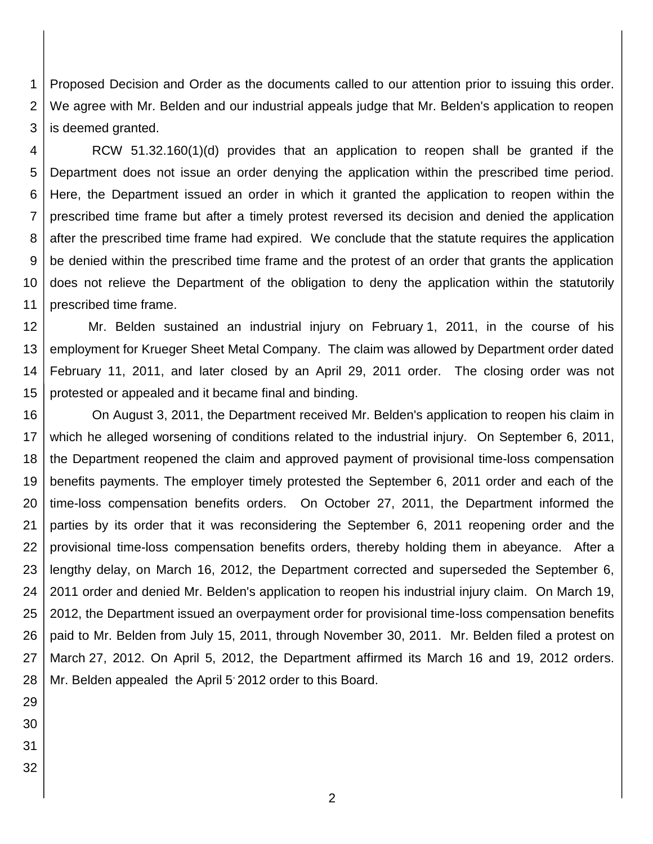1 2 3 Proposed Decision and Order as the documents called to our attention prior to issuing this order. We agree with Mr. Belden and our industrial appeals judge that Mr. Belden's application to reopen is deemed granted.

4 5 6 7 8 9 10 11 RCW 51.32.160(1)(d) provides that an application to reopen shall be granted if the Department does not issue an order denying the application within the prescribed time period. Here, the Department issued an order in which it granted the application to reopen within the prescribed time frame but after a timely protest reversed its decision and denied the application after the prescribed time frame had expired. We conclude that the statute requires the application be denied within the prescribed time frame and the protest of an order that grants the application does not relieve the Department of the obligation to deny the application within the statutorily prescribed time frame.

12 13 14 15 Mr. Belden sustained an industrial injury on February 1, 2011, in the course of his employment for Krueger Sheet Metal Company. The claim was allowed by Department order dated February 11, 2011, and later closed by an April 29, 2011 order. The closing order was not protested or appealed and it became final and binding.

16 17 18 19 20 21 22 23 24 25 26 27 28 On August 3, 2011, the Department received Mr. Belden's application to reopen his claim in which he alleged worsening of conditions related to the industrial injury. On September 6, 2011, the Department reopened the claim and approved payment of provisional time-loss compensation benefits payments. The employer timely protested the September 6, 2011 order and each of the time-loss compensation benefits orders. On October 27, 2011, the Department informed the parties by its order that it was reconsidering the September 6, 2011 reopening order and the provisional time-loss compensation benefits orders, thereby holding them in abeyance. After a lengthy delay, on March 16, 2012, the Department corrected and superseded the September 6, 2011 order and denied Mr. Belden's application to reopen his industrial injury claim. On March 19, 2012, the Department issued an overpayment order for provisional time-loss compensation benefits paid to Mr. Belden from July 15, 2011, through November 30, 2011. Mr. Belden filed a protest on March 27, 2012. On April 5, 2012, the Department affirmed its March 16 and 19, 2012 orders. Mr. Belden appealed the April 5<sup>,</sup> 2012 order to this Board.

- 29
- 30
- 31
- 32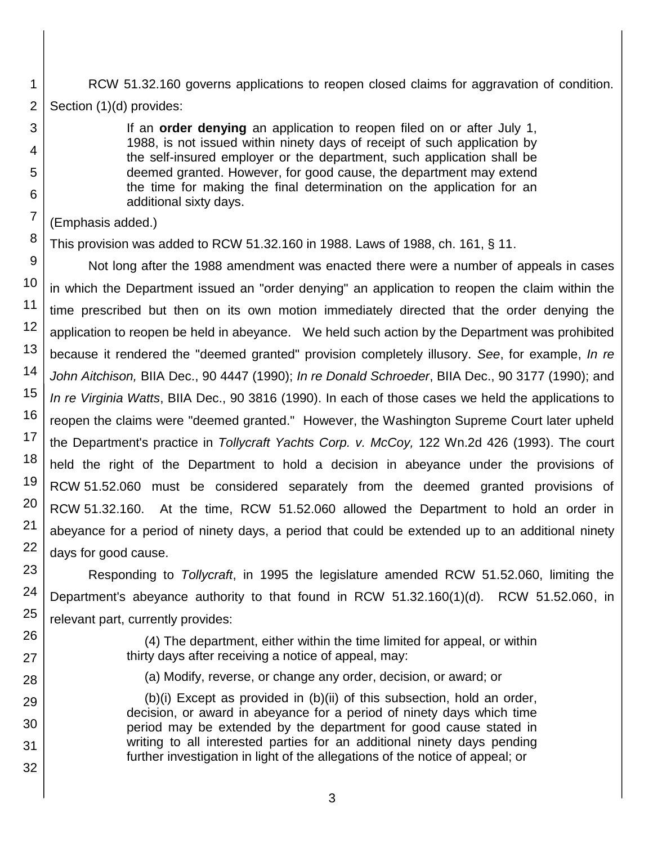RCW 51.32.160 governs applications to reopen closed claims for aggravation of condition. Section (1)(d) provides:

> If an **order denying** an application to reopen filed on or after July 1, 1988, is not issued within ninety days of receipt of such application by the self-insured employer or the department, such application shall be deemed granted. However, for good cause, the department may extend the time for making the final determination on the application for an additional sixty days.

#### (Emphasis added.)

1

2

3

4

5

6

7

8

This provision was added to RCW 51.32.160 in 1988. Laws of 1988, ch. 161, § 11.

9 10 11 12 13 14 15 16 17 18 19 20 21 22 Not long after the 1988 amendment was enacted there were a number of appeals in cases in which the Department issued an "order denying" an application to reopen the claim within the time prescribed but then on its own motion immediately directed that the order denying the application to reopen be held in abeyance. We held such action by the Department was prohibited because it rendered the "deemed granted" provision completely illusory. *See*, for example, *In re John Aitchison,* BIIA Dec., 90 4447 (1990); *In re Donald Schroeder*, BIIA Dec., 90 3177 (1990); and *In re Virginia Watts*, BIIA Dec., 90 3816 (1990). In each of those cases we held the applications to reopen the claims were "deemed granted." However, the Washington Supreme Court later upheld the Department's practice in *Tollycraft Yachts Corp. v. McCoy,* 122 Wn.2d 426 (1993). The court held the right of the Department to hold a decision in abeyance under the provisions of RCW 51.52.060 must be considered separately from the deemed granted provisions of RCW 51.32.160. At the time, RCW 51.52.060 allowed the Department to hold an order in abeyance for a period of ninety days, a period that could be extended up to an additional ninety days for good cause.

Responding to *Tollycraft*, in 1995 the legislature amended RCW 51.52.060, limiting the Department's abeyance authority to that found in RCW 51.32.160(1)(d). RCW 51.52.060, in relevant part, currently provides:

> (4) The department, either within the time limited for appeal, or within thirty days after receiving a notice of appeal, may:

(a) Modify, reverse, or change any order, decision, or award; or

 (b)(i) Except as provided in (b)(ii) of this subsection, hold an order, decision, or award in abeyance for a period of ninety days which time period may be extended by the department for good cause stated in writing to all interested parties for an additional ninety days pending further investigation in light of the allegations of the notice of appeal; or

3

23

24

25

26

27

28

29

30

31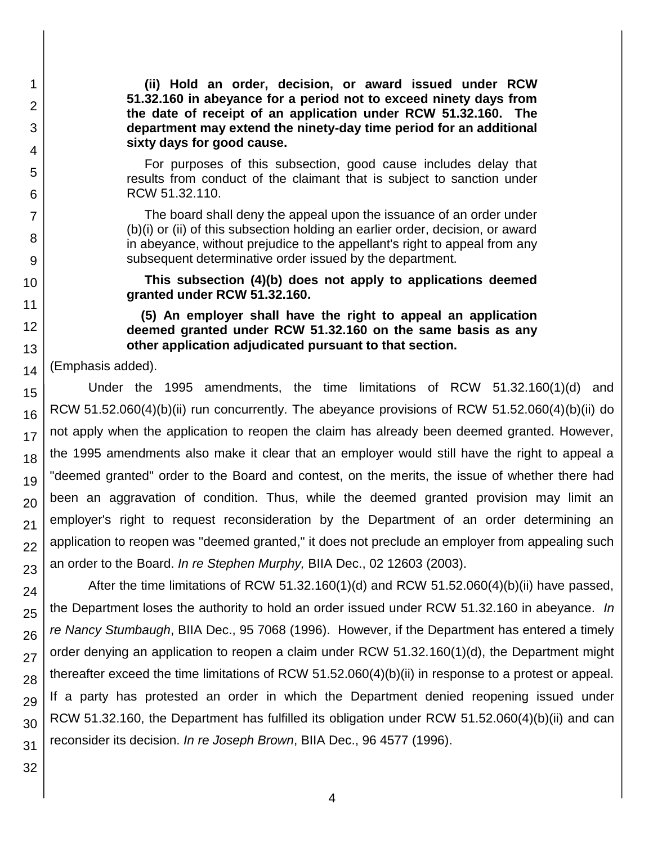**(ii) Hold an order, decision, or award issued under RCW [51.32.160](http://apps.leg.wa.gov/RCW/default.aspx?cite=51.32.160) in abeyance for a period not to exceed ninety days from the date of receipt of an application under RCW [51.32.160.](http://apps.leg.wa.gov/RCW/default.aspx?cite=51.32.160) The department may extend the ninety-day time period for an additional sixty days for good cause.**

 For purposes of this subsection, good cause includes delay that results from conduct of the claimant that is subject to sanction under RCW [51.32.110.](http://apps.leg.wa.gov/RCW/default.aspx?cite=51.32.110)

 The board shall deny the appeal upon the issuance of an order under (b)(i) or (ii) of this subsection holding an earlier order, decision, or award in abeyance, without prejudice to the appellant's right to appeal from any subsequent determinative order issued by the department.

 **This subsection (4)(b) does not apply to applications deemed granted under RCW [51.32.160.](http://apps.leg.wa.gov/RCW/default.aspx?cite=51.32.160)**

 **(5) An employer shall have the right to appeal an application deemed granted under RCW [51.32.160](http://apps.leg.wa.gov/RCW/default.aspx?cite=51.32.160) on the same basis as any other application adjudicated pursuant to that section.** 

14 (Emphasis added).

1

2

3

4

5

6

7

8

9

10

11

12

13

15 16 17 18 19 20 21 22 23 Under the 1995 amendments, the time limitations of RCW 51.32.160(1)(d) and RCW 51.52.060(4)(b)(ii) run concurrently. The abeyance provisions of RCW 51.52.060(4)(b)(ii) do not apply when the application to reopen the claim has already been deemed granted. However, the 1995 amendments also make it clear that an employer would still have the right to appeal a "deemed granted" order to the Board and contest, on the merits, the issue of whether there had been an aggravation of condition. Thus, while the deemed granted provision may limit an employer's right to request reconsideration by the Department of an order determining an application to reopen was "deemed granted," it does not preclude an employer from appealing such an order to the Board. *In re Stephen Murphy,* BIIA Dec., 02 12603 (2003).

24 25 26 27 28 29 30 After the time limitations of RCW 51.32.160(1)(d) and RCW 51.52.060(4)(b)(ii) have passed, the Department loses the authority to hold an order issued under RCW 51.32.160 in abeyance. *In re Nancy Stumbaugh*, BIIA Dec., 95 7068 (1996). However, if the Department has entered a timely order denying an application to reopen a claim under RCW 51.32.160(1)(d), the Department might thereafter exceed the time limitations of RCW 51.52.060(4)(b)(ii) in response to a protest or appeal. If a party has protested an order in which the Department denied reopening issued under RCW 51.32.160, the Department has fulfilled its obligation under RCW 51.52.060(4)(b)(ii) and can reconsider its decision. *In re Joseph Brown*, BIIA Dec., 96 4577 (1996).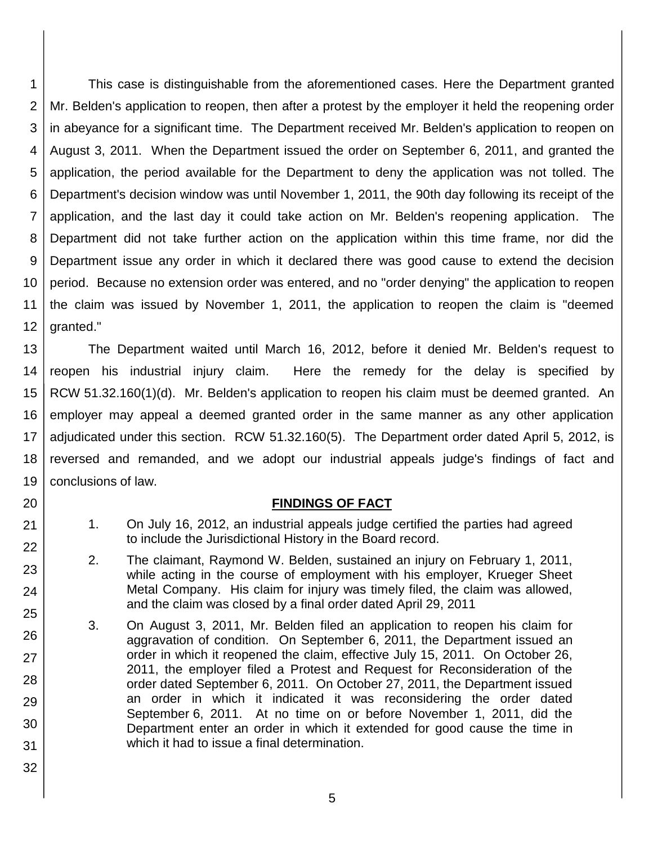1 2 3 4 5 6 7 8 9 10 11 12 This case is distinguishable from the aforementioned cases. Here the Department granted Mr. Belden's application to reopen, then after a protest by the employer it held the reopening order in abeyance for a significant time. The Department received Mr. Belden's application to reopen on August 3, 2011. When the Department issued the order on September 6, 2011, and granted the application, the period available for the Department to deny the application was not tolled. The Department's decision window was until November 1, 2011, the 90th day following its receipt of the application, and the last day it could take action on Mr. Belden's reopening application. The Department did not take further action on the application within this time frame, nor did the Department issue any order in which it declared there was good cause to extend the decision period. Because no extension order was entered, and no "order denying" the application to reopen the claim was issued by November 1, 2011, the application to reopen the claim is "deemed granted."

13 14 15 16 17 18 19 The Department waited until March 16, 2012, before it denied Mr. Belden's request to reopen his industrial injury claim. Here the remedy for the delay is specified by RCW 51.32.160(1)(d). Mr. Belden's application to reopen his claim must be deemed granted. An employer may appeal a deemed granted order in the same manner as any other application adjudicated under this section. RCW 51.32.160(5). The Department order dated April 5, 2012, is reversed and remanded, and we adopt our industrial appeals judge's findings of fact and conclusions of law.

#### **FINDINGS OF FACT**

20

21

22

23

24

25

26

27

28

29

30

31

- 1. On July 16, 2012, an industrial appeals judge certified the parties had agreed to include the Jurisdictional History in the Board record.
- 2. The claimant, Raymond W. Belden, sustained an injury on February 1, 2011, while acting in the course of employment with his employer, Krueger Sheet Metal Company. His claim for injury was timely filed, the claim was allowed, and the claim was closed by a final order dated April 29, 2011
- 3. On August 3, 2011, Mr. Belden filed an application to reopen his claim for aggravation of condition. On September 6, 2011, the Department issued an order in which it reopened the claim, effective July 15, 2011. On October 26, 2011, the employer filed a Protest and Request for Reconsideration of the order dated September 6, 2011. On October 27, 2011, the Department issued an order in which it indicated it was reconsidering the order dated September 6, 2011. At no time on or before November 1, 2011, did the Department enter an order in which it extended for good cause the time in which it had to issue a final determination.
	- 5